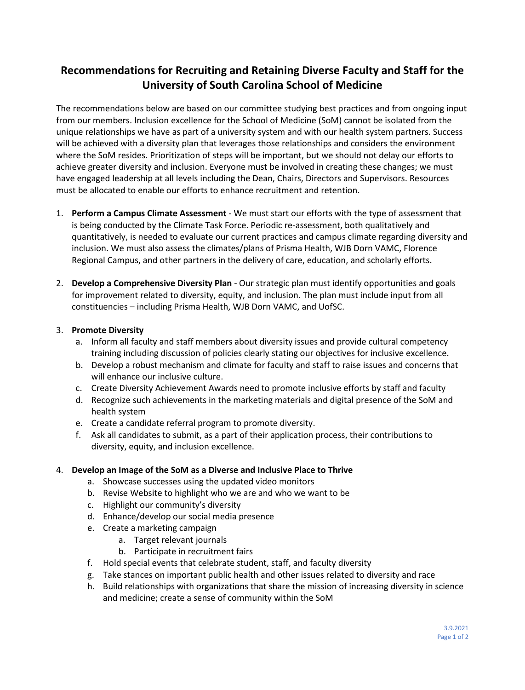# **Recommendations for Recruiting and Retaining Diverse Faculty and Staff for the University of South Carolina School of Medicine**

The recommendations below are based on our committee studying best practices and from ongoing input from our members. Inclusion excellence for the School of Medicine (SoM) cannot be isolated from the unique relationships we have as part of a university system and with our health system partners. Success will be achieved with a diversity plan that leverages those relationships and considers the environment where the SoM resides. Prioritization of steps will be important, but we should not delay our efforts to achieve greater diversity and inclusion. Everyone must be involved in creating these changes; we must have engaged leadership at all levels including the Dean, Chairs, Directors and Supervisors. Resources must be allocated to enable our efforts to enhance recruitment and retention.

- 1. **Perform a Campus Climate Assessment** We must start our efforts with the type of assessment that is being conducted by the Climate Task Force. Periodic re-assessment, both qualitatively and quantitatively, is needed to evaluate our current practices and campus climate regarding diversity and inclusion. We must also assess the climates/plans of Prisma Health, WJB Dorn VAMC, Florence Regional Campus, and other partners in the delivery of care, education, and scholarly efforts.
- 2. **Develop a Comprehensive Diversity Plan** Our strategic plan must identify opportunities and goals for improvement related to diversity, equity, and inclusion. The plan must include input from all constituencies – including Prisma Health, WJB Dorn VAMC, and UofSC.

# 3. **Promote Diversity**

- a. Inform all faculty and staff members about diversity issues and provide cultural competency training including discussion of policies clearly stating our objectives for inclusive excellence.
- b. Develop a robust mechanism and climate for faculty and staff to raise issues and concerns that will enhance our inclusive culture.
- c. Create Diversity Achievement Awards need to promote inclusive efforts by staff and faculty
- d. Recognize such achievements in the marketing materials and digital presence of the SoM and health system
- e. Create a candidate referral program to promote diversity.
- f. Ask all candidates to submit, as a part of their application process, their contributions to diversity, equity, and inclusion excellence.

## 4. **Develop an Image of the SoM as a Diverse and Inclusive Place to Thrive**

- a. Showcase successes using the updated video monitors
- b. Revise Website to highlight who we are and who we want to be
- c. Highlight our community's diversity
- d. Enhance/develop our social media presence
- e. Create a marketing campaign
	- a. Target relevant journals
	- b. Participate in recruitment fairs
- f. Hold special events that celebrate student, staff, and faculty diversity
- g. Take stances on important public health and other issues related to diversity and race
- h. Build relationships with organizations that share the mission of increasing diversity in science and medicine; create a sense of community within the SoM